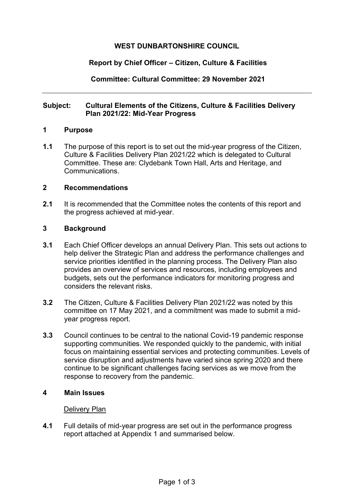# **WEST DUNBARTONSHIRE COUNCIL**

# **Report by Chief Officer – Citizen, Culture & Facilities**

**Committee: Cultural Committee: 29 November 2021** 

## **Subject: Cultural Elements of the Citizens, Culture & Facilities Delivery Plan 2021/22: Mid-Year Progress**

### **1 Purpose**

**1.1** The purpose of this report is to set out the mid-year progress of the Citizen, Culture & Facilities Delivery Plan 2021/22 which is delegated to Cultural Committee. These are: Clydebank Town Hall, Arts and Heritage, and Communications.

### **2 Recommendations**

**2.1** It is recommended that the Committee notes the contents of this report and the progress achieved at mid-year.

### **3 Background**

- **3.1** Each Chief Officer develops an annual Delivery Plan. This sets out actions to help deliver the Strategic Plan and address the performance challenges and service priorities identified in the planning process. The Delivery Plan also provides an overview of services and resources, including employees and budgets, sets out the performance indicators for monitoring progress and considers the relevant risks.
- **3.2** The Citizen, Culture & Facilities Delivery Plan 2021/22 was noted by this committee on 17 May 2021, and a commitment was made to submit a midyear progress report.
- **3.3** Council continues to be central to the national Covid-19 pandemic response supporting communities. We responded quickly to the pandemic, with initial focus on maintaining essential services and protecting communities. Levels of service disruption and adjustments have varied since spring 2020 and there continue to be significant challenges facing services as we move from the response to recovery from the pandemic.

#### **4 Main Issues**

#### Delivery Plan

**4.1** Full details of mid-year progress are set out in the performance progress report attached at Appendix 1 and summarised below.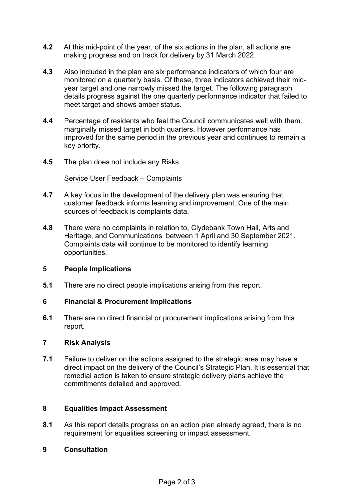- **4.2** At this mid-point of the year, of the six actions in the plan, all actions are making progress and on track for delivery by 31 March 2022.
- **4.3** Also included in the plan are six performance indicators of which four are monitored on a quarterly basis. Of these, three indicators achieved their midyear target and one narrowly missed the target. The following paragraph details progress against the one quarterly performance indicator that failed to meet target and shows amber status.
- **4.4** Percentage of residents who feel the Council communicates well with them, marginally missed target in both quarters. However performance has improved for the same period in the previous year and continues to remain a key priority.
- **4.5** The plan does not include any Risks.

### Service User Feedback – Complaints

- **4.7** A key focus in the development of the delivery plan was ensuring that customer feedback informs learning and improvement. One of the main sources of feedback is complaints data.
- **4.8** There were no complaints in relation to, Clydebank Town Hall, Arts and Heritage, and Communications between 1 April and 30 September 2021. Complaints data will continue to be monitored to identify learning opportunities.

## **5 People Implications**

**5.1** There are no direct people implications arising from this report.

## **6 Financial & Procurement Implications**

**6.1** There are no direct financial or procurement implications arising from this report.

#### **7 Risk Analysis**

**7.1** Failure to deliver on the actions assigned to the strategic area may have a direct impact on the delivery of the Council's Strategic Plan. It is essential that remedial action is taken to ensure strategic delivery plans achieve the commitments detailed and approved.

## **8 Equalities Impact Assessment**

- **8.1** As this report details progress on an action plan already agreed, there is no requirement for equalities screening or impact assessment.
- **9 Consultation**